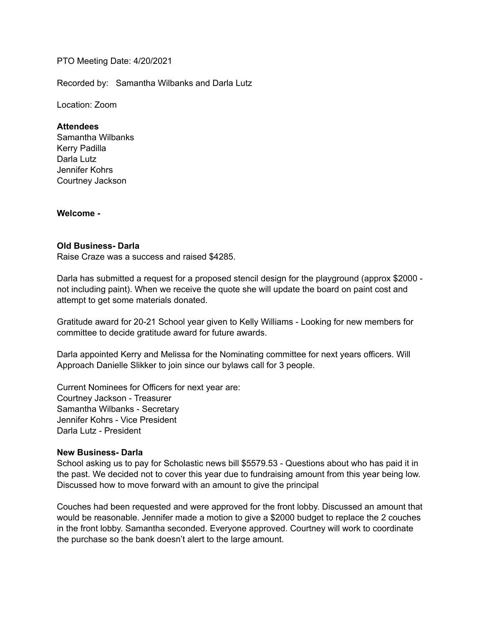### PTO Meeting Date: 4/20/2021

Recorded by: Samantha Wilbanks and Darla Lutz

Location: Zoom

#### **Attendees**

Samantha Wilbanks Kerry Padilla Darla Lutz Jennifer Kohrs Courtney Jackson

**Welcome -** 

#### **Old Business- Darla**

Raise Craze was a success and raised \$4285.

Darla has submitted a request for a proposed stencil design for the playground (approx \$2000 not including paint). When we receive the quote she will update the board on paint cost and attempt to get some materials donated.

Gratitude award for 20-21 School year given to Kelly Williams - Looking for new members for committee to decide gratitude award for future awards.

Darla appointed Kerry and Melissa for the Nominating committee for next years officers. Will Approach Danielle Slikker to join since our bylaws call for 3 people.

Current Nominees for Officers for next year are: Courtney Jackson - Treasurer Samantha Wilbanks - Secretary Jennifer Kohrs - Vice President Darla Lutz - President

### **New Business- Darla**

School asking us to pay for Scholastic news bill \$5579.53 - Questions about who has paid it in the past. We decided not to cover this year due to fundraising amount from this year being low. Discussed how to move forward with an amount to give the principal

Couches had been requested and were approved for the front lobby. Discussed an amount that would be reasonable. Jennifer made a motion to give a \$2000 budget to replace the 2 couches in the front lobby. Samantha seconded. Everyone approved. Courtney will work to coordinate the purchase so the bank doesn't alert to the large amount.